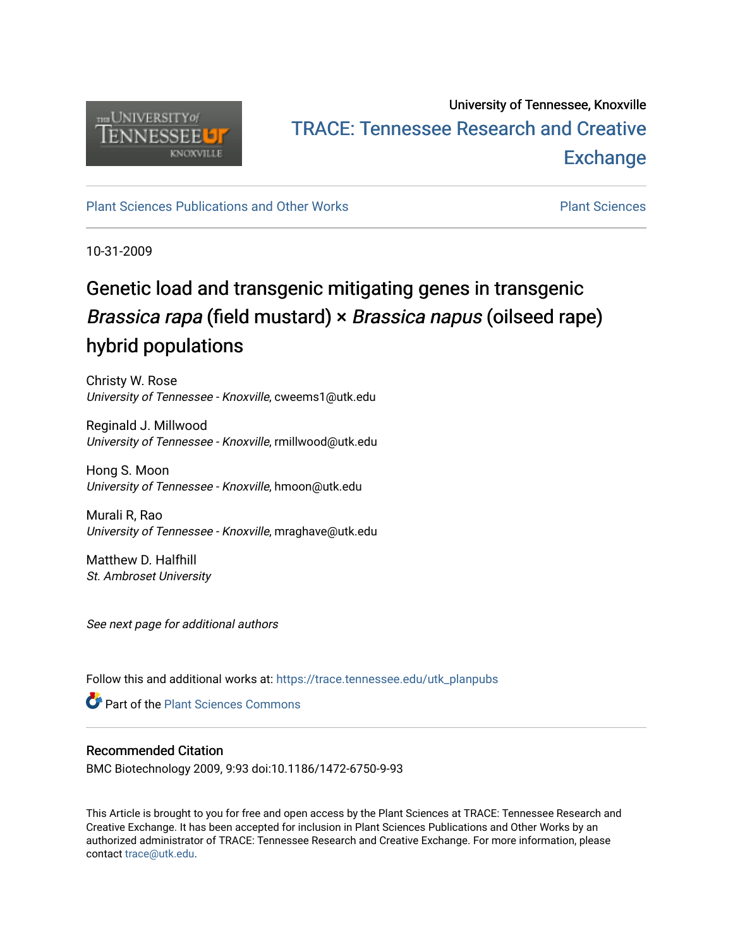

# University of Tennessee, Knoxville TRACE: T[ennessee Research and Cr](https://trace.tennessee.edu/)eative **Exchange**

#### [Plant Sciences Publications and Other Works](https://trace.tennessee.edu/utk_planpubs) [Plant Sciences](https://trace.tennessee.edu/utk-plan)

10-31-2009

# Genetic load and transgenic mitigating genes in transgenic Brassica rapa (field mustard) × Brassica napus (oilseed rape) hybrid populations

Christy W. Rose University of Tennessee - Knoxville, cweems1@utk.edu

Reginald J. Millwood University of Tennessee - Knoxville, rmillwood@utk.edu

Hong S. Moon University of Tennessee - Knoxville, hmoon@utk.edu

Murali R, Rao University of Tennessee - Knoxville, mraghave@utk.edu

Matthew D. Halfhill St. Ambroset University

See next page for additional authors

Follow this and additional works at: [https://trace.tennessee.edu/utk\\_planpubs](https://trace.tennessee.edu/utk_planpubs?utm_source=trace.tennessee.edu%2Futk_planpubs%2F60&utm_medium=PDF&utm_campaign=PDFCoverPages) 

**C** Part of the [Plant Sciences Commons](https://network.bepress.com/hgg/discipline/102?utm_source=trace.tennessee.edu%2Futk_planpubs%2F60&utm_medium=PDF&utm_campaign=PDFCoverPages)

#### Recommended Citation

BMC Biotechnology 2009, 9:93 doi:10.1186/1472-6750-9-93

This Article is brought to you for free and open access by the Plant Sciences at TRACE: Tennessee Research and Creative Exchange. It has been accepted for inclusion in Plant Sciences Publications and Other Works by an authorized administrator of TRACE: Tennessee Research and Creative Exchange. For more information, please contact [trace@utk.edu](mailto:trace@utk.edu).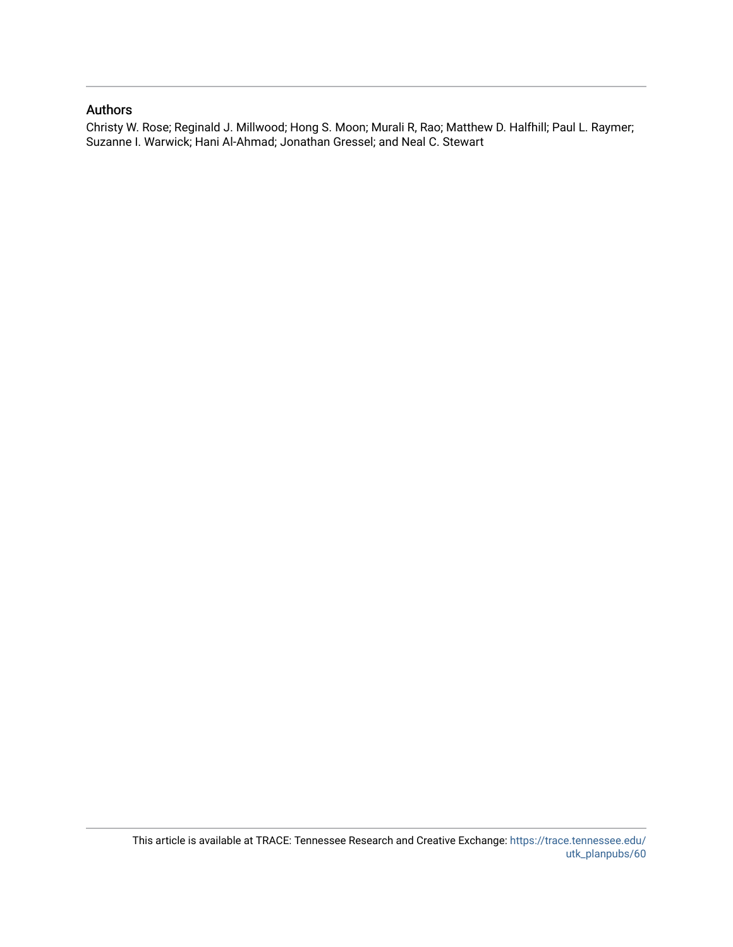#### Authors

Christy W. Rose; Reginald J. Millwood; Hong S. Moon; Murali R, Rao; Matthew D. Halfhill; Paul L. Raymer; Suzanne I. Warwick; Hani Al-Ahmad; Jonathan Gressel; and Neal C. Stewart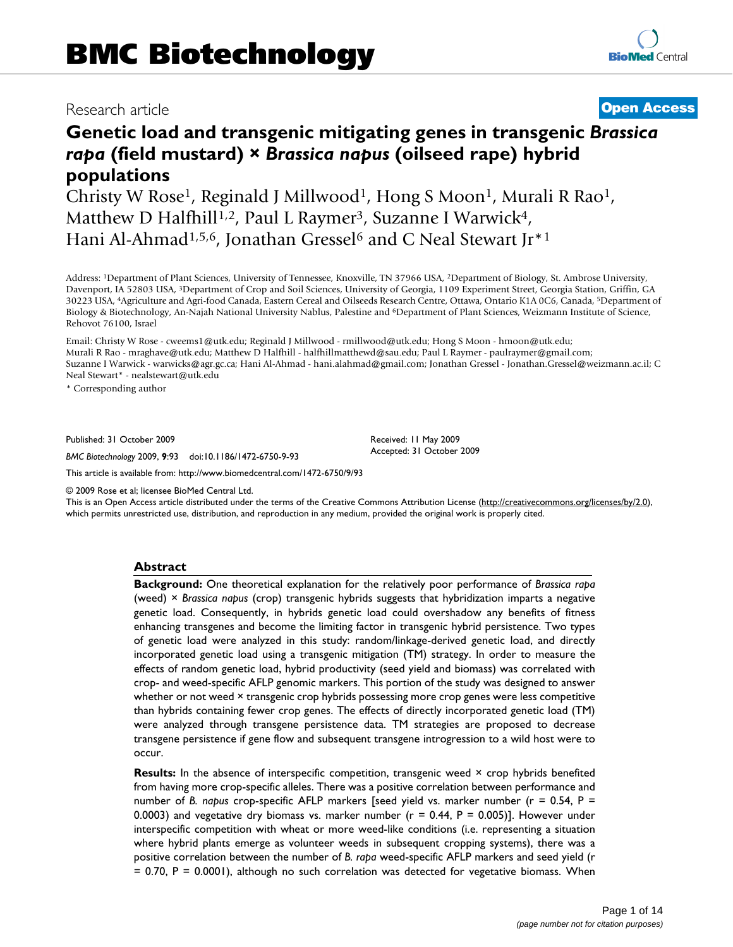### Research article **[Open Access](http://www.biomedcentral.com/info/about/charter/)**

## **Genetic load and transgenic mitigating genes in transgenic** *Brassica rapa* **(field mustard) ×** *Brassica napus* **(oilseed rape) hybrid populations**

Christy W Rose<sup>1</sup>, Reginald J Millwood<sup>1</sup>, Hong S Moon<sup>1</sup>, Murali R Rao<sup>1</sup>, Matthew D Halfhill<sup>1,2</sup>, Paul L Raymer<sup>3</sup>, Suzanne I Warwick<sup>4</sup>, Hani Al-Ahmad<sup>1,5,6</sup>, Jonathan Gressel<sup>6</sup> and C Neal Stewart Jr<sup>\*1</sup>

Address: 1Department of Plant Sciences, University of Tennessee, Knoxville, TN 37966 USA, 2Department of Biology, St. Ambrose University, Davenport, IA 52803 USA, 3Department of Crop and Soil Sciences, University of Georgia, 1109 Experiment Street, Georgia Station, Griffin, GA 30223 USA, 4Agriculture and Agri-food Canada, Eastern Cereal and Oilseeds Research Centre, Ottawa, Ontario K1A 0C6, Canada, 5Department of Biology & Biotechnology, An-Najah National University Nablus, Palestine and 6Department of Plant Sciences, Weizmann Institute of Science, Rehovot 76100, Israel

Email: Christy W Rose - cweems1@utk.edu; Reginald J Millwood - rmillwood@utk.edu; Hong S Moon - hmoon@utk.edu; Murali R Rao - mraghave@utk.edu; Matthew D Halfhill - halfhillmatthewd@sau.edu; Paul L Raymer - paulraymer@gmail.com; Suzanne I Warwick - warwicks@agr.gc.ca; Hani Al-Ahmad - hani.alahmad@gmail.com; Jonathan Gressel - Jonathan.Gressel@weizmann.ac.il; C Neal Stewart\* - nealstewart@utk.edu

\* Corresponding author

Published: 31 October 2009

*BMC Biotechnology* 2009, **9**:93 doi:10.1186/1472-6750-9-93

Received: 11 May 2009 Accepted: 31 October 2009

[This article is available from: http://www.biomedcentral.com/1472-6750/9/93](http://www.biomedcentral.com/1472-6750/9/93)

© 2009 Rose et al; licensee BioMed Central Ltd.

This is an Open Access article distributed under the terms of the Creative Commons Attribution License [\(http://creativecommons.org/licenses/by/2.0\)](http://creativecommons.org/licenses/by/2.0), which permits unrestricted use, distribution, and reproduction in any medium, provided the original work is properly cited.

#### **Abstract**

**Background:** One theoretical explanation for the relatively poor performance of *Brassica rapa* (weed) × *Brassica napus* (crop) transgenic hybrids suggests that hybridization imparts a negative genetic load. Consequently, in hybrids genetic load could overshadow any benefits of fitness enhancing transgenes and become the limiting factor in transgenic hybrid persistence. Two types of genetic load were analyzed in this study: random/linkage-derived genetic load, and directly incorporated genetic load using a transgenic mitigation (TM) strategy. In order to measure the effects of random genetic load, hybrid productivity (seed yield and biomass) was correlated with crop- and weed-specific AFLP genomic markers. This portion of the study was designed to answer whether or not weed  $\times$  transgenic crop hybrids possessing more crop genes were less competitive than hybrids containing fewer crop genes. The effects of directly incorporated genetic load (TM) were analyzed through transgene persistence data. TM strategies are proposed to decrease transgene persistence if gene flow and subsequent transgene introgression to a wild host were to occur.

**Results:** In the absence of interspecific competition, transgenic weed × crop hybrids benefited from having more crop-specific alleles. There was a positive correlation between performance and number of *B. napus* crop-specific AFLP markers [seed yield vs. marker number (r = 0.54, P = 0.0003) and vegetative dry biomass vs. marker number ( $r = 0.44$ ,  $P = 0.005$ )]. However under interspecific competition with wheat or more weed-like conditions (i.e. representing a situation where hybrid plants emerge as volunteer weeds in subsequent cropping systems), there was a positive correlation between the number of *B. rapa* weed-specific AFLP markers and seed yield (r  $= 0.70$ , P = 0.0001), although no such correlation was detected for vegetative biomass. When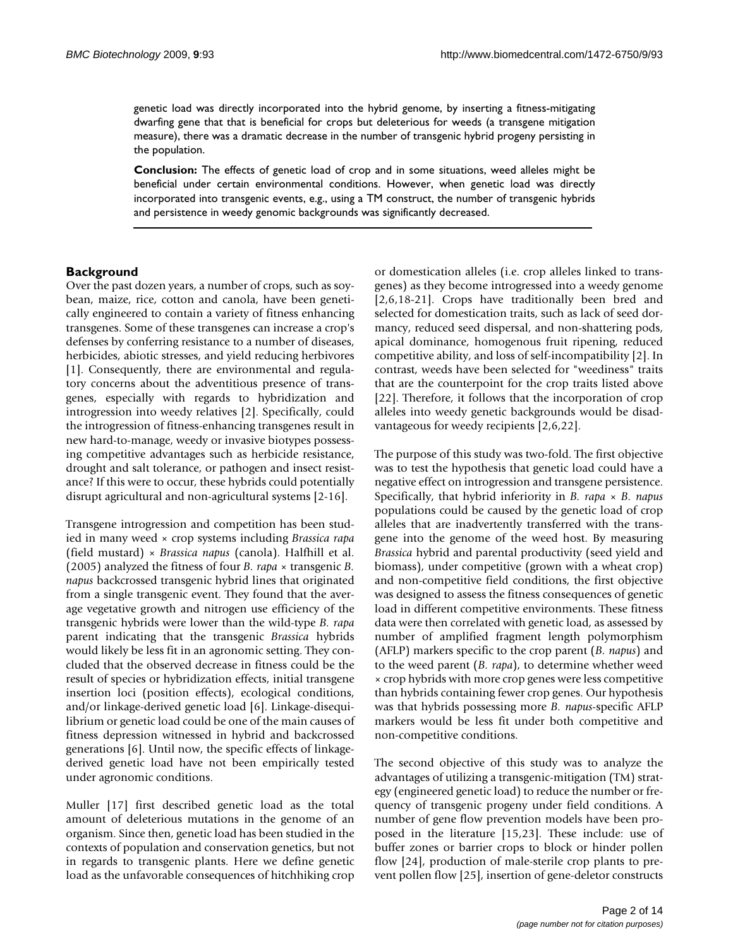genetic load was directly incorporated into the hybrid genome, by inserting a fitness-mitigating dwarfing gene that that is beneficial for crops but deleterious for weeds (a transgene mitigation measure), there was a dramatic decrease in the number of transgenic hybrid progeny persisting in the population.

**Conclusion:** The effects of genetic load of crop and in some situations, weed alleles might be beneficial under certain environmental conditions. However, when genetic load was directly incorporated into transgenic events, e.g., using a TM construct, the number of transgenic hybrids and persistence in weedy genomic backgrounds was significantly decreased.

#### **Background**

Over the past dozen years, a number of crops, such as soybean, maize, rice, cotton and canola, have been genetically engineered to contain a variety of fitness enhancing transgenes. Some of these transgenes can increase a crop's defenses by conferring resistance to a number of diseases, herbicides, abiotic stresses, and yield reducing herbivores [1]. Consequently, there are environmental and regulatory concerns about the adventitious presence of transgenes, especially with regards to hybridization and introgression into weedy relatives [2]. Specifically, could the introgression of fitness-enhancing transgenes result in new hard-to-manage, weedy or invasive biotypes possessing competitive advantages such as herbicide resistance, drought and salt tolerance, or pathogen and insect resistance? If this were to occur, these hybrids could potentially disrupt agricultural and non-agricultural systems [2-16].

Transgene introgression and competition has been studied in many weed × crop systems including *Brassica rapa* (field mustard) × *Brassica napus* (canola). Halfhill et al. (2005) analyzed the fitness of four *B. rapa* × transgenic *B. napus* backcrossed transgenic hybrid lines that originated from a single transgenic event. They found that the average vegetative growth and nitrogen use efficiency of the transgenic hybrids were lower than the wild-type *B. rapa* parent indicating that the transgenic *Brassica* hybrids would likely be less fit in an agronomic setting. They concluded that the observed decrease in fitness could be the result of species or hybridization effects, initial transgene insertion loci (position effects), ecological conditions, and/or linkage-derived genetic load [\[6\]](#page-14-0). Linkage-disequilibrium or genetic load could be one of the main causes of fitness depression witnessed in hybrid and backcrossed generations [[6](#page-14-0)]. Until now, the specific effects of linkagederived genetic load have not been empirically tested under agronomic conditions.

Muller [17] first described genetic load as the total amount of deleterious mutations in the genome of an organism. Since then, genetic load has been studied in the contexts of population and conservation genetics, but not in regards to transgenic plants. Here we define genetic load as the unfavorable consequences of hitchhiking crop or domestication alleles (i.e. crop alleles linked to transgenes) as they become introgressed into a weedy genome [2[,6,](#page-14-0)18[-21](#page-14-1)]. Crops have traditionally been bred and selected for domestication traits, such as lack of seed dormancy, reduced seed dispersal, and non-shattering pods, apical dominance, homogenous fruit ripening, reduced competitive ability, and loss of self-incompatibility [2]. In contrast, weeds have been selected for "weediness" traits that are the counterpoint for the crop traits listed above [22]. Therefore, it follows that the incorporation of crop alleles into weedy genetic backgrounds would be disadvantageous for weedy recipients [2,[6](#page-14-0),22].

The purpose of this study was two-fold. The first objective was to test the hypothesis that genetic load could have a negative effect on introgression and transgene persistence. Specifically, that hybrid inferiority in *B. rapa × B. napus* populations could be caused by the genetic load of crop alleles that are inadvertently transferred with the transgene into the genome of the weed host. By measuring *Brassica* hybrid and parental productivity (seed yield and biomass), under competitive (grown with a wheat crop) and non-competitive field conditions, the first objective was designed to assess the fitness consequences of genetic load in different competitive environments. These fitness data were then correlated with genetic load, as assessed by number of amplified fragment length polymorphism (AFLP) markers specific to the crop parent (*B. napus*) and to the weed parent (*B. rapa*), to determine whether weed × crop hybrids with more crop genes were less competitive than hybrids containing fewer crop genes. Our hypothesis was that hybrids possessing more *B. napus*-specific AFLP markers would be less fit under both competitive and non-competitive conditions.

The second objective of this study was to analyze the advantages of utilizing a transgenic-mitigation (TM) strategy (engineered genetic load) to reduce the number or frequency of transgenic progeny under field conditions. A number of gene flow prevention models have been proposed in the literature [15,23]. These include: use of buffer zones or barrier crops to block or hinder pollen flow [24], production of male-sterile crop plants to prevent pollen flow [25], insertion of gene-deletor constructs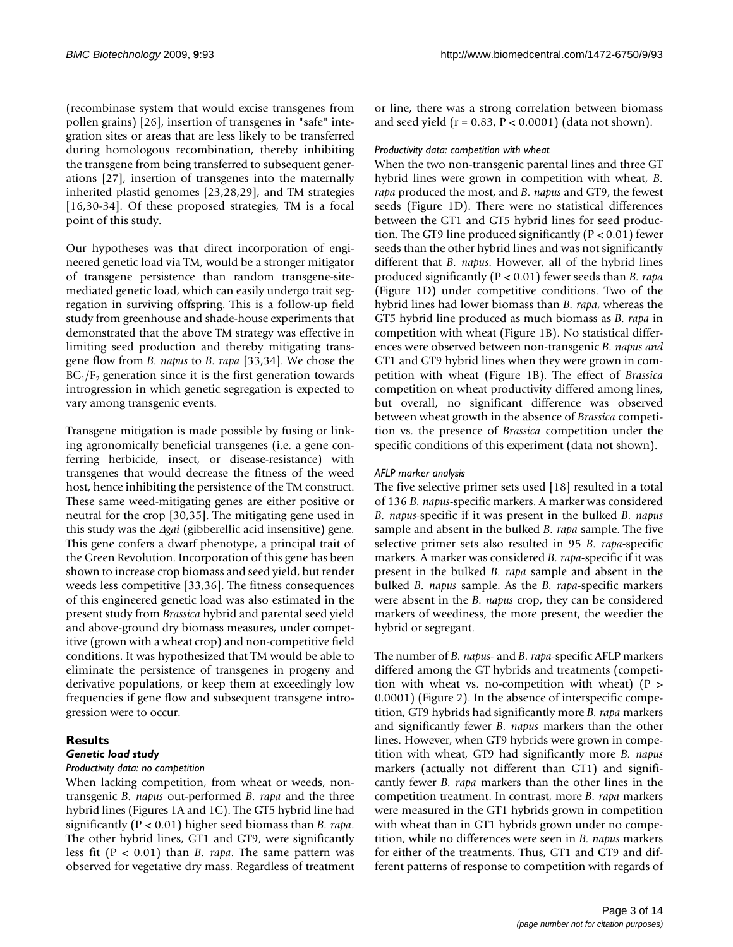(recombinase system that would excise transgenes from pollen grains) [26], insertion of transgenes in "safe" integration sites or areas that are less likely to be transferred during homologous recombination, thereby inhibiting the transgene from being transferred to subsequent generations [27], insertion of transgenes into the maternally inherited plastid genomes [23,28,29], and TM strategies [16,30-34]. Of these proposed strategies, TM is a focal point of this study.

Our hypotheses was that direct incorporation of engineered genetic load via TM, would be a stronger mitigator of transgene persistence than random transgene-sitemediated genetic load, which can easily undergo trait segregation in surviving offspring. This is a follow-up field study from greenhouse and shade-house experiments that demonstrated that the above TM strategy was effective in limiting seed production and thereby mitigating transgene flow from *B. napus* to *B. rapa* [[33,](#page-15-0)34]. We chose the  $BC<sub>1</sub>/F<sub>2</sub>$  generation since it is the first generation towards introgression in which genetic segregation is expected to vary among transgenic events.

Transgene mitigation is made possible by fusing or linking agronomically beneficial transgenes (i.e. a gene conferring herbicide, insect, or disease-resistance) with transgenes that would decrease the fitness of the weed host, hence inhibiting the persistence of the TM construct. These same weed-mitigating genes are either positive or neutral for the crop [30,35]. The mitigating gene used in this study was the Δ*gai* (gibberellic acid insensitive) gene. This gene confers a dwarf phenotype, a principal trait of the Green Revolution. Incorporation of this gene has been shown to increase crop biomass and seed yield, but render weeds less competitive [\[33](#page-15-0),36]. The fitness consequences of this engineered genetic load was also estimated in the present study from *Brassica* hybrid and parental seed yield and above-ground dry biomass measures, under competitive (grown with a wheat crop) and non-competitive field conditions. It was hypothesized that TM would be able to eliminate the persistence of transgenes in progeny and derivative populations, or keep them at exceedingly low frequencies if gene flow and subsequent transgene introgression were to occur.

#### **Results**

#### *Genetic load study*

#### *Productivity data: no competition*

When lacking competition, from wheat or weeds, nontransgenic *B. napus* out-performed *B. rapa* and the three hybrid lines (Figures 1A and 1C). The GT5 hybrid line had significantly (P < 0.01) higher seed biomass than *B. rapa*. The other hybrid lines, GT1 and GT9, were significantly less fit (P < 0.01) than *B. rapa*. The same pattern was observed for vegetative dry mass. Regardless of treatment

or line, there was a strong correlation between biomass and seed yield ( $r = 0.83$ ,  $P < 0.0001$ ) (data not shown).

#### *Productivity data: competition with wheat*

When the two non-transgenic parental lines and three GT hybrid lines were grown in competition with wheat, *B. rapa* produced the most, and *B. napus* and GT9, the fewest seeds (Figure 1D). There were no statistical differences between the GT1 and GT5 hybrid lines for seed production. The GT9 line produced significantly  $(P < 0.01)$  fewer seeds than the other hybrid lines and was not significantly different that *B. napus*. However, all of the hybrid lines produced significantly (P < 0.01) fewer seeds than *B. rapa* (Figure 1D) under competitive conditions. Two of the hybrid lines had lower biomass than *B. rapa*, whereas the GT5 hybrid line produced as much biomass as *B. rapa* in competition with wheat (Figure 1B). No statistical differences were observed between non-transgenic *B. napus and* GT1 and GT9 hybrid lines when they were grown in competition with wheat (Figure 1B). The effect of *Brassica* competition on wheat productivity differed among lines, but overall, no significant difference was observed between wheat growth in the absence of *Brassica* competition vs. the presence of *Brassica* competition under the specific conditions of this experiment (data not shown).

#### *AFLP marker analysis*

The five selective primer sets used [18] resulted in a total of 136 *B. napus-*specific markers. A marker was considered *B. napus-*specific if it was present in the bulked *B. napus* sample and absent in the bulked *B. rapa* sample. The five selective primer sets also resulted in 95 *B. rapa-*specific markers. A marker was considered *B. rapa-*specific if it was present in the bulked *B. rapa* sample and absent in the bulked *B. napus* sample. As the *B. rapa-*specific markers were absent in the *B. napus* crop, they can be considered markers of weediness, the more present, the weedier the hybrid or segregant.

The number of *B. napus-* and *B. rapa-*specific AFLP markers differed among the GT hybrids and treatments (competition with wheat vs. no-competition with wheat)  $(P >$ 0.0001) (Figure 2). In the absence of interspecific competition, GT9 hybrids had significantly more *B. rapa* markers and significantly fewer *B. napus* markers than the other lines. However, when GT9 hybrids were grown in competition with wheat, GT9 had significantly more *B. napus* markers (actually not different than GT1) and significantly fewer *B. rapa* markers than the other lines in the competition treatment. In contrast, more *B. rapa* markers were measured in the GT1 hybrids grown in competition with wheat than in GT1 hybrids grown under no competition, while no differences were seen in *B. napus* markers for either of the treatments. Thus, GT1 and GT9 and different patterns of response to competition with regards of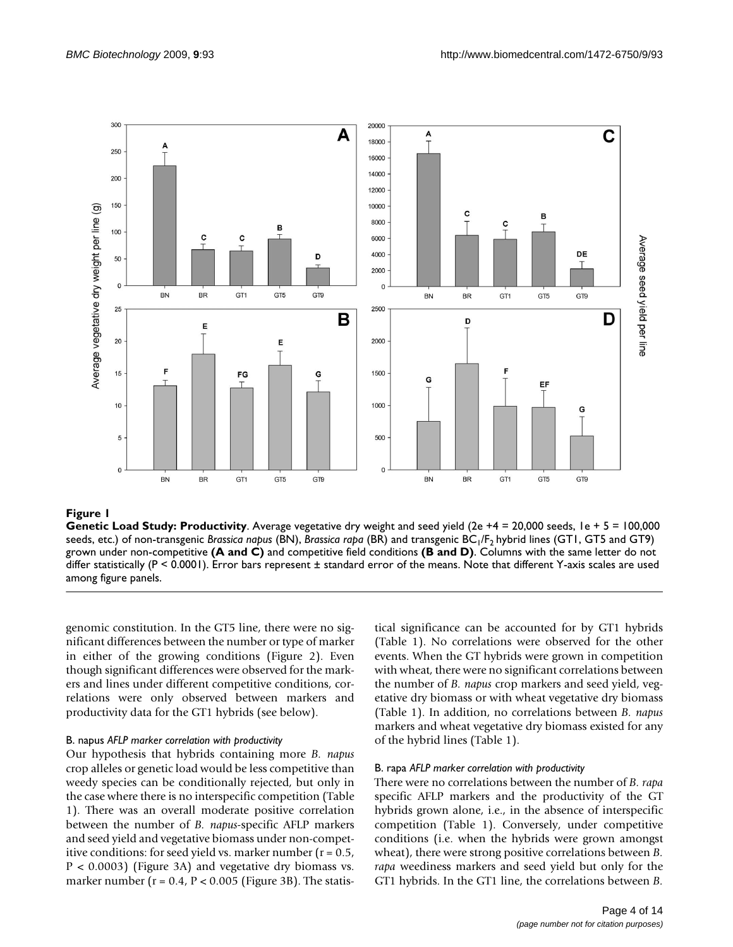

**Genetic Load Study: Productivity**. Average vegetative dry weight and seed yield (2e +4 = 20,000 seeds, 1e + 5 = 100,000 seeds, etc.) of non-transgenic *Brassica napus* (BN), *Brassica rapa* (BR) and transgenic BC1/F2 hybrid lines (GT1, GT5 and GT9) grown under non-competitive **(A and C)** and competitive field conditions **(B and D)**. Columns with the same letter do not differ statistically (P < 0.0001). Error bars represent ± standard error of the means. Note that different Y-axis scales are used among figure panels.

genomic constitution. In the GT5 line, there were no significant differences between the number or type of marker in either of the growing conditions (Figure 2). Even though significant differences were observed for the markers and lines under different competitive conditions, correlations were only observed between markers and productivity data for the GT1 hybrids (see below).

#### B. napus *AFLP marker correlation with productivity*

Our hypothesis that hybrids containing more *B. napus* crop alleles or genetic load would be less competitive than weedy species can be conditionally rejected, but only in the case where there is no interspecific competition (Table 1). There was an overall moderate positive correlation between the number of *B. napus-*specific AFLP markers and seed yield and vegetative biomass under non-competitive conditions: for seed yield vs. marker number ( $r = 0.5$ , P < 0.0003) (Figure 3A) and vegetative dry biomass vs. marker number ( $r = 0.4$ ,  $P < 0.005$  (Figure 3B). The statistical significance can be accounted for by GT1 hybrids (Table 1). No correlations were observed for the other events. When the GT hybrids were grown in competition with wheat, there were no significant correlations between the number of *B. napus* crop markers and seed yield, vegetative dry biomass or with wheat vegetative dry biomass (Table 1). In addition, no correlations between *B. napus* markers and wheat vegetative dry biomass existed for any of the hybrid lines (Table 1).

#### B. rapa *AFLP marker correlation with productivity*

There were no correlations between the number of *B. rapa* specific AFLP markers and the productivity of the GT hybrids grown alone, i.e., in the absence of interspecific competition (Table 1). Conversely, under competitive conditions (i.e. when the hybrids were grown amongst wheat), there were strong positive correlations between *B. rapa* weediness markers and seed yield but only for the GT1 hybrids. In the GT1 line, the correlations between *B.*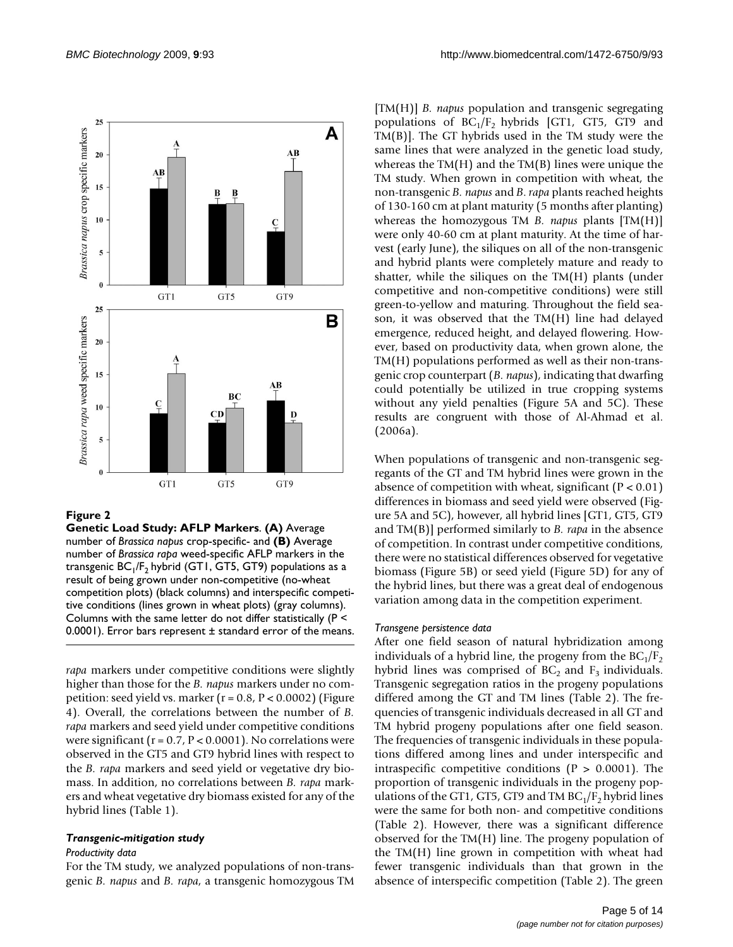

**Genetic Load Study: AFLP Markers**. **(A)** Average number of *Brassica napus* crop-specific- and **(B)** Average number of *Brassica rapa* weed-specific AFLP markers in the transgenic  $BC_1/F_2$  hybrid (GT1, GT5, GT9) populations as a result of being grown under non-competitive (no-wheat competition plots) (black columns) and interspecific competitive conditions (lines grown in wheat plots) (gray columns). Columns with the same letter do not differ statistically (P < 0.0001). Error bars represent ± standard error of the means.

*rapa* markers under competitive conditions were slightly higher than those for the *B. napus* markers under no competition: seed yield vs. marker ( $r = 0.8$ ,  $P < 0.0002$ ) (Figure 4). Overall, the correlations between the number of *B. rapa* markers and seed yield under competitive conditions were significant ( $r = 0.7$ ,  $P < 0.0001$ ). No correlations were observed in the GT5 and GT9 hybrid lines with respect to the *B. rapa* markers and seed yield or vegetative dry biomass. In addition, no correlations between *B. rapa* markers and wheat vegetative dry biomass existed for any of the hybrid lines (Table 1).

#### *Transgenic-mitigation study*

#### *Productivity data*

For the TM study, we analyzed populations of non-transgenic *B. napus* and *B. rapa*, a transgenic homozygous TM [TM(H)] *B. napus* population and transgenic segregating populations of  $BC_1/F_2$  hybrids [GT1, GT5, GT9 and TM(B)]. The GT hybrids used in the TM study were the same lines that were analyzed in the genetic load study, whereas the  $TM(H)$  and the  $TM(B)$  lines were unique the TM study. When grown in competition with wheat, the non-transgenic *B. napus* and *B*. *rapa* plants reached heights of 130-160 cm at plant maturity (5 months after planting) whereas the homozygous TM *B. napus* plants [TM(H)] were only 40-60 cm at plant maturity. At the time of harvest (early June), the siliques on all of the non-transgenic and hybrid plants were completely mature and ready to shatter, while the siliques on the TM(H) plants (under competitive and non-competitive conditions) were still green-to-yellow and maturing. Throughout the field season, it was observed that the TM(H) line had delayed emergence, reduced height, and delayed flowering. However, based on productivity data, when grown alone, the TM(H) populations performed as well as their non-transgenic crop counterpart (*B. napus*), indicating that dwarfing could potentially be utilized in true cropping systems without any yield penalties (Figure 5A and 5C). These results are congruent with those of Al-Ahmad et al. (2006a).

When populations of transgenic and non-transgenic segregants of the GT and TM hybrid lines were grown in the absence of competition with wheat, significant ( $P < 0.01$ ) differences in biomass and seed yield were observed (Figure 5A and 5C), however, all hybrid lines [GT1, GT5, GT9 and TM(B)] performed similarly to *B. rapa* in the absence of competition. In contrast under competitive conditions, there were no statistical differences observed for vegetative biomass (Figure 5B) or seed yield (Figure 5D) for any of the hybrid lines, but there was a great deal of endogenous variation among data in the competition experiment.

#### *Transgene persistence data*

After one field season of natural hybridization among individuals of a hybrid line, the progeny from the  $BC_1/F_2$ hybrid lines was comprised of  $BC_2$  and  $F_3$  individuals. Transgenic segregation ratios in the progeny populations differed among the GT and TM lines (Table 2). The frequencies of transgenic individuals decreased in all GT and TM hybrid progeny populations after one field season. The frequencies of transgenic individuals in these populations differed among lines and under interspecific and intraspecific competitive conditions ( $P > 0.0001$ ). The proportion of transgenic individuals in the progeny populations of the GT1, GT5, GT9 and TM  $BC<sub>1</sub>/F<sub>2</sub>$  hybrid lines were the same for both non- and competitive conditions (Table 2). However, there was a significant difference observed for the TM(H) line. The progeny population of the TM(H) line grown in competition with wheat had fewer transgenic individuals than that grown in the absence of interspecific competition (Table 2). The green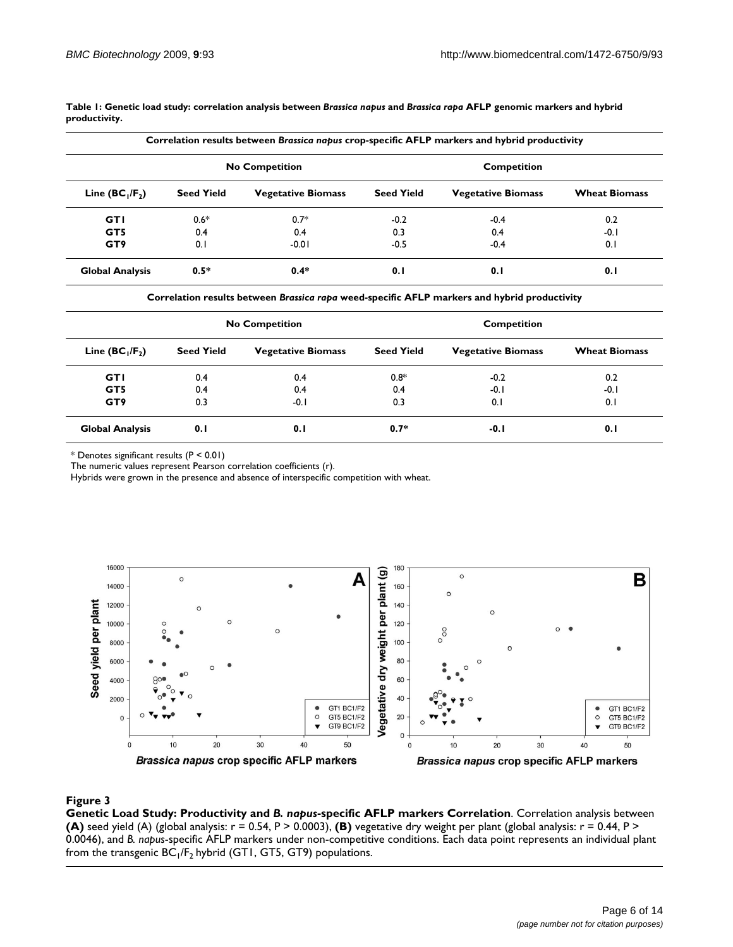**Table 1: Genetic load study: correlation analysis between** *Brassica napus* **and** *Brassica rapa* **AFLP genomic markers and hybrid productivity.** 

|                        |                   | <b>No Competition</b>     | <b>Competition</b> |                           |                      |  |
|------------------------|-------------------|---------------------------|--------------------|---------------------------|----------------------|--|
| Line $(BC_1/F_2)$      | <b>Seed Yield</b> | <b>Vegetative Biomass</b> | <b>Seed Yield</b>  | <b>Vegetative Biomass</b> | <b>Wheat Biomass</b> |  |
| <b>GTI</b>             | $0.6*$            | $0.7*$                    | $-0.2$             | $-0.4$                    | 0.2                  |  |
| GT5                    | 0.4               | 0.4                       | 0.3                | 0.4                       | $-0.1$               |  |
| GT <sub>9</sub><br>0.1 |                   | $-0.01$                   | $-0.5$             | $-0.4$                    | 0.1                  |  |
| <b>Global Analysis</b> | $0.5*$            | $0.4*$                    | 0.1                | 0.1                       | 0.1                  |  |

**Correlation results between** *Brassica rapa* **weed-specific AFLP markers and hybrid productivity**

|                        |                   | <b>No Competition</b>     | <b>Competition</b> |                           |                      |  |
|------------------------|-------------------|---------------------------|--------------------|---------------------------|----------------------|--|
| Line $(BC_1/F_2)$      | <b>Seed Yield</b> | <b>Vegetative Biomass</b> | <b>Seed Yield</b>  | <b>Vegetative Biomass</b> | <b>Wheat Biomass</b> |  |
| <b>GTI</b>             | 0.4               | 0.4                       | $0.8*$             | $-0.2$                    | 0.2                  |  |
| GT5                    | 0.4               | 0.4                       | 0.4                | $-0.1$                    | $-0.1$               |  |
| GT <sub>9</sub>        | 0.3               | $-0.1$                    | 0.3                | 0.1                       | 0.1                  |  |
| <b>Global Analysis</b> | 0.1               | 0.1                       | $0.7*$             | -0. I                     | 0.1                  |  |

\* Denotes significant results (P < 0.01)

The numeric values represent Pearson correlation coefficients (r).

Hybrids were grown in the presence and absence of interspecific competition with wheat.



#### Figure 3

**Genetic Load Study: Productivity and** *B. napus***-specific AFLP markers Correlation**. Correlation analysis between **(A)** seed yield (A) (global analysis: r = 0.54, P > 0.0003), **(B)** vegetative dry weight per plant (global analysis: r = 0.44, P > 0.0046), and *B. napus*-specific AFLP markers under non-competitive conditions. Each data point represents an individual plant from the transgenic  $BC_1/F_2$  hybrid (GT1, GT5, GT9) populations.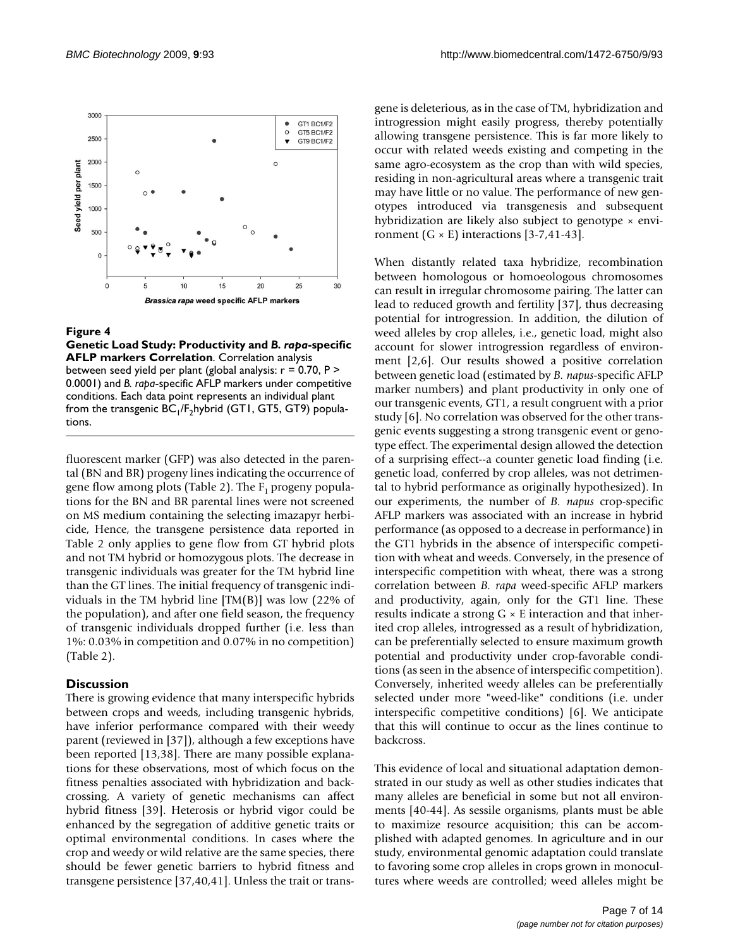

**Genetic Load Study: Productivity and** *B. rapa***-specific AFLP markers Correlation**. Correlation analysis between seed yield per plant (global analysis:  $r = 0.70$ ,  $P >$ 0.0001) and *B. rapa*-specific AFLP markers under competitive conditions. Each data point represents an individual plant from the transgenic  $BC_1/F_2$ hybrid (GT1, GT5, GT9) populations.

fluorescent marker (GFP) was also detected in the parental (BN and BR) progeny lines indicating the occurrence of gene flow among plots (Table 2). The  $F_1$  progeny populations for the BN and BR parental lines were not screened on MS medium containing the selecting imazapyr herbicide, Hence, the transgene persistence data reported in Table 2 only applies to gene flow from GT hybrid plots and not TM hybrid or homozygous plots. The decrease in transgenic individuals was greater for the TM hybrid line than the GT lines. The initial frequency of transgenic individuals in the TM hybrid line [TM(B)] was low (22% of the population), and after one field season, the frequency of transgenic individuals dropped further (i.e. less than 1%: 0.03% in competition and 0.07% in no competition) (Table 2).

#### **Discussion**

There is growing evidence that many interspecific hybrids between crops and weeds, including transgenic hybrids, have inferior performance compared with their weedy parent (reviewed in [37]), although a few exceptions have been reported [13,38]. There are many possible explanations for these observations, most of which focus on the fitness penalties associated with hybridization and backcrossing. A variety of genetic mechanisms can affect hybrid fitness [39]. Heterosis or hybrid vigor could be enhanced by the segregation of additive genetic traits or optimal environmental conditions. In cases where the crop and weedy or wild relative are the same species, there should be fewer genetic barriers to hybrid fitness and transgene persistence [37,40,41]. Unless the trait or transgene is deleterious, as in the case of TM, hybridization and introgression might easily progress, thereby potentially allowing transgene persistence. This is far more likely to occur with related weeds existing and competing in the same agro-ecosystem as the crop than with wild species, residing in non-agricultural areas where a transgenic trait may have little or no value. The performance of new genotypes introduced via transgenesis and subsequent hybridization are likely also subject to genotype × environment (G  $\times$  E) interactions [3-7,41-43].

When distantly related taxa hybridize, recombination between homologous or homoeologous chromosomes can result in irregular chromosome pairing. The latter can lead to reduced growth and fertility [37], thus decreasing potential for introgression. In addition, the dilution of weed alleles by crop alleles, i.e., genetic load, might also account for slower introgression regardless of environment [2,[6](#page-14-0)]. Our results showed a positive correlation between genetic load (estimated by *B. napus*-specific AFLP marker numbers) and plant productivity in only one of our transgenic events, GT1, a result congruent with a prior study [\[6\]](#page-14-0). No correlation was observed for the other transgenic events suggesting a strong transgenic event or genotype effect. The experimental design allowed the detection of a surprising effect--a counter genetic load finding (i.e. genetic load, conferred by crop alleles, was not detrimental to hybrid performance as originally hypothesized). In our experiments, the number of *B. napus* crop-specific AFLP markers was associated with an increase in hybrid performance (as opposed to a decrease in performance) in the GT1 hybrids in the absence of interspecific competition with wheat and weeds. Conversely, in the presence of interspecific competition with wheat, there was a strong correlation between *B. rapa* weed-specific AFLP markers and productivity, again, only for the GT1 line. These results indicate a strong  $G \times E$  interaction and that inherited crop alleles, introgressed as a result of hybridization, can be preferentially selected to ensure maximum growth potential and productivity under crop-favorable conditions (as seen in the absence of interspecific competition). Conversely, inherited weedy alleles can be preferentially selected under more "weed-like" conditions (i.e. under interspecific competitive conditions) [\[6](#page-14-0)]. We anticipate that this will continue to occur as the lines continue to backcross.

This evidence of local and situational adaptation demonstrated in our study as well as other studies indicates that many alleles are beneficial in some but not all environments [40-44]. As sessile organisms, plants must be able to maximize resource acquisition; this can be accomplished with adapted genomes. In agriculture and in our study, environmental genomic adaptation could translate to favoring some crop alleles in crops grown in monocultures where weeds are controlled; weed alleles might be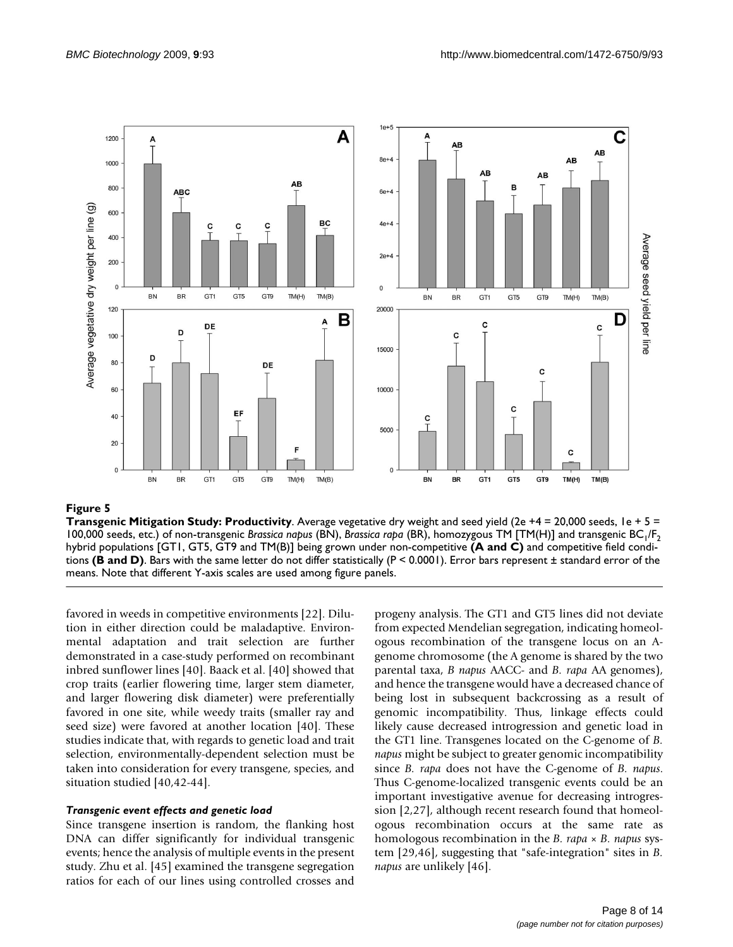

**Transgenic Mitigation Study: Productivity**. Average vegetative dry weight and seed yield (2e +4 = 20,000 seeds, 1e + 5 = 100,000 seeds, etc.) of non-transgenic *Brassica napus* (BN), *Brassica rapa* (BR), homozygous TM [TM(H)] and transgenic BC1/F2 hybrid populations [GT1, GT5, GT9 and TM(B)] being grown under non-competitive **(A and C)** and competitive field conditions **(B and D)**. Bars with the same letter do not differ statistically (P < 0.0001). Error bars represent ± standard error of the means. Note that different Y-axis scales are used among figure panels.

favored in weeds in competitive environments [22]. Dilution in either direction could be maladaptive. Environmental adaptation and trait selection are further demonstrated in a case-study performed on recombinant inbred sunflower lines [40]. Baack et al. [40] showed that crop traits (earlier flowering time, larger stem diameter, and larger flowering disk diameter) were preferentially favored in one site, while weedy traits (smaller ray and seed size) were favored at another location [40]. These studies indicate that, with regards to genetic load and trait selection, environmentally-dependent selection must be taken into consideration for every transgene, species, and situation studied [40,42-44].

#### *Transgenic event effects and genetic load*

Since transgene insertion is random, the flanking host DNA can differ significantly for individual transgenic events; hence the analysis of multiple events in the present study. Zhu et al. [\[45\]](#page-15-1) examined the transgene segregation ratios for each of our lines using controlled crosses and

progeny analysis. The GT1 and GT5 lines did not deviate from expected Mendelian segregation, indicating homeologous recombination of the transgene locus on an Agenome chromosome (the A genome is shared by the two parental taxa, *B napus* AACC- and *B. rapa* AA genomes), and hence the transgene would have a decreased chance of being lost in subsequent backcrossing as a result of genomic incompatibility. Thus, linkage effects could likely cause decreased introgression and genetic load in the GT1 line. Transgenes located on the C-genome of *B. napus* might be subject to greater genomic incompatibility since *B. rapa* does not have the C-genome of *B. napus*. Thus C-genome-localized transgenic events could be an important investigative avenue for decreasing introgression [2,27], although recent research found that homeologous recombination occurs at the same rate as homologous recombination in the *B. rapa × B. napus* system [29,46], suggesting that "safe-integration" sites in *B. napus* are unlikely [46].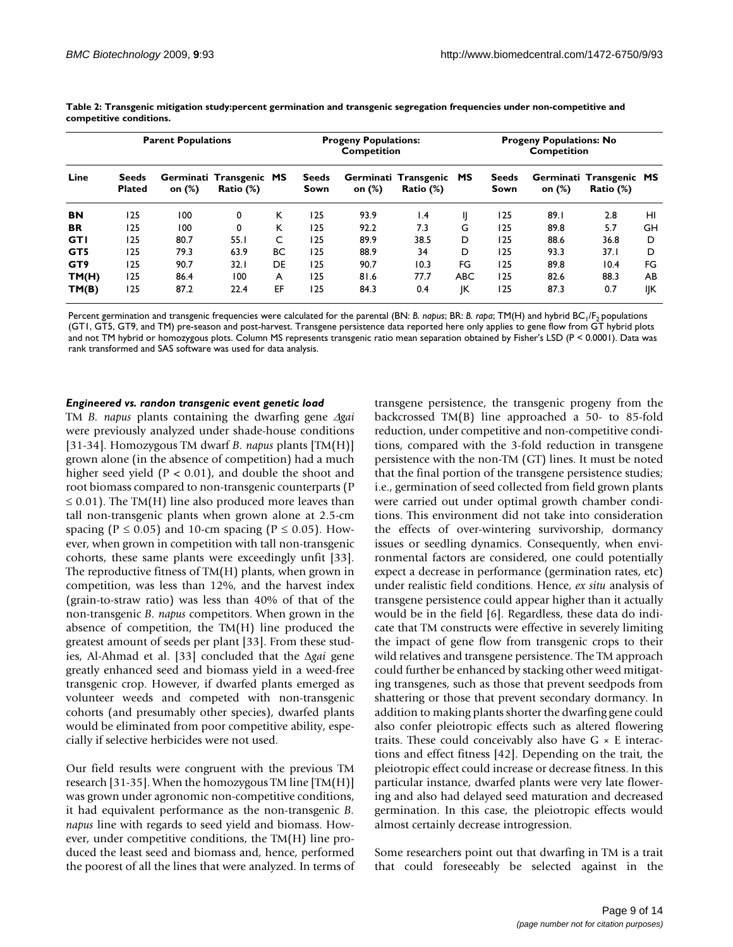| <b>Parent Populations</b> |                               |           |                                         | <b>Progeny Populations:</b><br><b>Competition</b> |                      |           |                                      | <b>Progeny Populations: No</b><br><b>Competition</b> |                      |           |                                         |     |
|---------------------------|-------------------------------|-----------|-----------------------------------------|---------------------------------------------------|----------------------|-----------|--------------------------------------|------------------------------------------------------|----------------------|-----------|-----------------------------------------|-----|
| Line                      | <b>Seeds</b><br><b>Plated</b> | on $(\%)$ | Germinati Transgenic MS<br>Ratio $(\%)$ |                                                   | <b>Seeds</b><br>Sown | on $(\%)$ | Germinati Transgenic<br>Ratio $(\%)$ | <b>MS</b>                                            | <b>Seeds</b><br>Sown | on $(\%)$ | Germinati Transgenic MS<br>Ratio $(\%)$ |     |
| <b>BN</b>                 | 125                           | 100       | 0                                       | К                                                 | 125                  | 93.9      | $\mathsf{I}$ .4                      |                                                      | 125                  | 89.1      | 2.8                                     | HI  |
| <b>BR</b>                 | 125                           | 100       | 0                                       | Κ                                                 | 125                  | 92.2      | 7.3                                  | G                                                    | 125                  | 89.8      | 5.7                                     | GH  |
| <b>GTI</b>                | 125                           | 80.7      | 55.1                                    | C                                                 | 125                  | 89.9      | 38.5                                 | D                                                    | 125                  | 88.6      | 36.8                                    | D   |
| GT5                       | 125                           | 79.3      | 63.9                                    | BС                                                | 125                  | 88.9      | 34                                   | D                                                    | 125                  | 93.3      | 37.1                                    | D   |
| GT9                       | 125                           | 90.7      | 32.1                                    | DE                                                | 125                  | 90.7      | 10.3                                 | FG                                                   | 125                  | 89.8      | 10.4                                    | FG  |
| TM(H)                     | 125                           | 86.4      | 100                                     | A                                                 | 125                  | 81.6      | 77.7                                 | <b>ABC</b>                                           | 125                  | 82.6      | 88.3                                    | AB  |
| TM(B)                     | 125                           | 87.2      | 22.4                                    | EF                                                | 125                  | 84.3      | 0.4                                  | ΙK                                                   | 125                  | 87.3      | 0.7                                     | IJΚ |

**Table 2: Transgenic mitigation study:percent germination and transgenic segregation frequencies under non-competitive and competitive conditions.**

Percent germination and transgenic frequencies were calculated for the parental (BN: *B. napus*; BR: *B. rapa*; TM(H) and hybrid BC<sub>1</sub>/F<sub>2</sub> populations (GT1, GT5, GT9, and TM) pre-season and post-harvest. Transgene persistence data reported here only applies to gene flow from GT hybrid plots and not TM hybrid or homozygous plots. Column MS represents transgenic ratio mean separation obtained by Fisher's LSD (P < 0.0001). Data was rank transformed and SAS software was used for data analysis.

#### *Engineered vs. randon transgenic event genetic load*

TM *B. napus* plants containing the dwarfing gene Δ*gai* were previously analyzed under shade-house conditions [31-34]. Homozygous TM dwarf *B. napus* plants [TM(H)] grown alone (in the absence of competition) had a much higher seed yield ( $P < 0.01$ ), and double the shoot and root biomass compared to non-transgenic counterparts (P  $\leq$  0.01). The TM(H) line also produced more leaves than tall non-transgenic plants when grown alone at 2.5-cm spacing ( $P \le 0.05$ ) and 10-cm spacing ( $P \le 0.05$ ). However, when grown in competition with tall non-transgenic cohorts, these same plants were exceedingly unfit [\[33](#page-15-0)]. The reproductive fitness of TM(H) plants, when grown in competition, was less than 12%, and the harvest index (grain-to-straw ratio) was less than 40% of that of the non-transgenic *B. napus* competitors. When grown in the absence of competition, the TM(H) line produced the greatest amount of seeds per plant [\[33\]](#page-15-0). From these studies, Al-Ahmad et al. [[33](#page-15-0)] concluded that the Δ*gai* gene greatly enhanced seed and biomass yield in a weed-free transgenic crop. However, if dwarfed plants emerged as volunteer weeds and competed with non-transgenic cohorts (and presumably other species), dwarfed plants would be eliminated from poor competitive ability, especially if selective herbicides were not used.

Our field results were congruent with the previous TM research [31-35]. When the homozygous TM line [TM(H)] was grown under agronomic non-competitive conditions, it had equivalent performance as the non-transgenic *B. napus* line with regards to seed yield and biomass. However, under competitive conditions, the TM(H) line produced the least seed and biomass and, hence, performed the poorest of all the lines that were analyzed. In terms of transgene persistence, the transgenic progeny from the backcrossed TM(B) line approached a 50- to 85-fold reduction, under competitive and non-competitive conditions, compared with the 3-fold reduction in transgene persistence with the non-TM (GT) lines. It must be noted that the final portion of the transgene persistence studies; i.e., germination of seed collected from field grown plants were carried out under optimal growth chamber conditions. This environment did not take into consideration the effects of over-wintering survivorship, dormancy issues or seedling dynamics. Consequently, when environmental factors are considered, one could potentially expect a decrease in performance (germination rates, etc) under realistic field conditions. Hence, *ex situ* analysis of transgene persistence could appear higher than it actually would be in the field [[6](#page-14-0)]. Regardless, these data do indicate that TM constructs were effective in severely limiting the impact of gene flow from transgenic crops to their wild relatives and transgene persistence. The TM approach could further be enhanced by stacking other weed mitigating transgenes, such as those that prevent seedpods from shattering or those that prevent secondary dormancy. In addition to making plants shorter the dwarfing gene could also confer pleiotropic effects such as altered flowering traits. These could conceivably also have  $G \times E$  interactions and effect fitness [42]. Depending on the trait, the pleiotropic effect could increase or decrease fitness. In this particular instance, dwarfed plants were very late flowering and also had delayed seed maturation and decreased germination. In this case, the pleiotropic effects would almost certainly decrease introgression.

Some researchers point out that dwarfing in TM is a trait that could foreseeably be selected against in the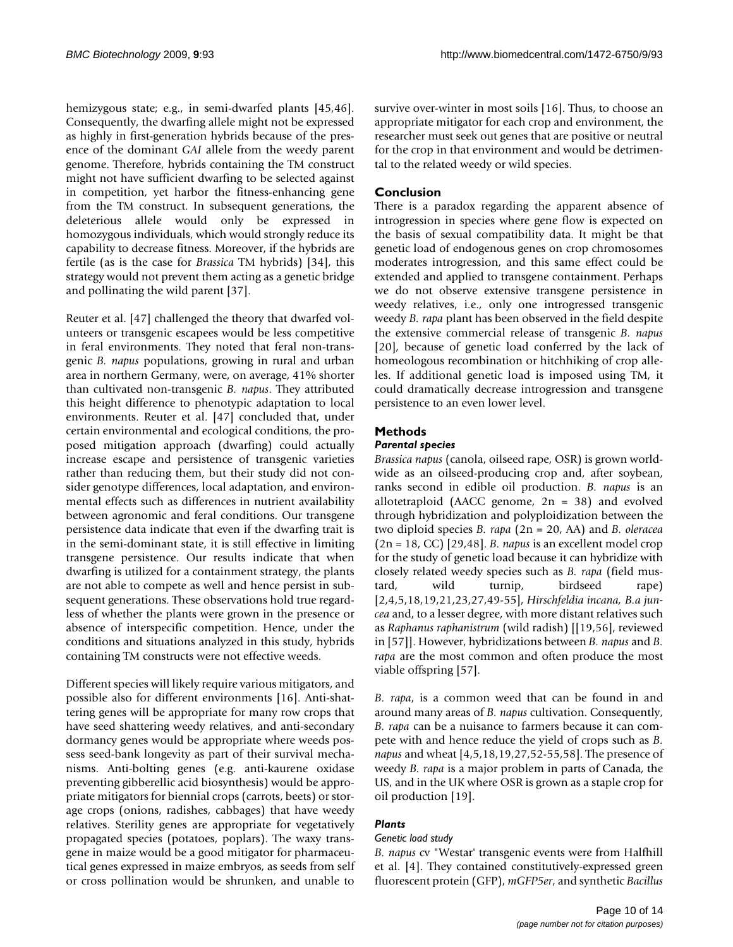hemizygous state; e.g., in semi-dwarfed plants [[45,](#page-15-1)46]. Consequently, the dwarfing allele might not be expressed as highly in first-generation hybrids because of the presence of the dominant *GAI* allele from the weedy parent genome. Therefore, hybrids containing the TM construct might not have sufficient dwarfing to be selected against in competition, yet harbor the fitness-enhancing gene from the TM construct. In subsequent generations, the deleterious allele would only be expressed in homozygous individuals, which would strongly reduce its capability to decrease fitness. Moreover, if the hybrids are fertile (as is the case for *Brassica* TM hybrids) [34], this strategy would not prevent them acting as a genetic bridge and pollinating the wild parent [37].

Reuter et al. [47] challenged the theory that dwarfed volunteers or transgenic escapees would be less competitive in feral environments. They noted that feral non-transgenic *B. napus* populations, growing in rural and urban area in northern Germany, were, on average, 41% shorter than cultivated non-transgenic *B. napus*. They attributed this height difference to phenotypic adaptation to local environments. Reuter et al. [47] concluded that, under certain environmental and ecological conditions, the proposed mitigation approach (dwarfing) could actually increase escape and persistence of transgenic varieties rather than reducing them, but their study did not consider genotype differences, local adaptation, and environmental effects such as differences in nutrient availability between agronomic and feral conditions. Our transgene persistence data indicate that even if the dwarfing trait is in the semi-dominant state, it is still effective in limiting transgene persistence. Our results indicate that when dwarfing is utilized for a containment strategy, the plants are not able to compete as well and hence persist in subsequent generations. These observations hold true regardless of whether the plants were grown in the presence or absence of interspecific competition. Hence, under the conditions and situations analyzed in this study, hybrids containing TM constructs were not effective weeds.

Different species will likely require various mitigators, and possible also for different environments [16]. Anti-shattering genes will be appropriate for many row crops that have seed shattering weedy relatives, and anti-secondary dormancy genes would be appropriate where weeds possess seed-bank longevity as part of their survival mechanisms. Anti-bolting genes (e.g. anti-kaurene oxidase preventing gibberellic acid biosynthesis) would be appropriate mitigators for biennial crops (carrots, beets) or storage crops (onions, radishes, cabbages) that have weedy relatives. Sterility genes are appropriate for vegetatively propagated species (potatoes, poplars). The waxy transgene in maize would be a good mitigator for pharmaceutical genes expressed in maize embryos, as seeds from self or cross pollination would be shrunken, and unable to

survive over-winter in most soils [16]. Thus, to choose an appropriate mitigator for each crop and environment, the researcher must seek out genes that are positive or neutral for the crop in that environment and would be detrimental to the related weedy or wild species.

#### **Conclusion**

There is a paradox regarding the apparent absence of introgression in species where gene flow is expected on the basis of sexual compatibility data. It might be that genetic load of endogenous genes on crop chromosomes moderates introgression, and this same effect could be extended and applied to transgene containment. Perhaps we do not observe extensive transgene persistence in weedy relatives, i.e., only one introgressed transgenic weedy *B. rapa* plant has been observed in the field despite the extensive commercial release of transgenic *B. napus* [[20](#page-14-2)], because of genetic load conferred by the lack of homeologous recombination or hitchhiking of crop alleles. If additional genetic load is imposed using TM, it could dramatically decrease introgression and transgene persistence to an even lower level.

#### **Methods**

#### *Parental species*

*Brassica napus* (canola, oilseed rape, OSR) is grown worldwide as an oilseed-producing crop and, after soybean, ranks second in edible oil production. *B. napus* is an allotetraploid (AACC genome, 2n = 38) and evolved through hybridization and polyploidization between the two diploid species *B. rapa* (2n = 20, AA) and *B. oleracea* (2n = 18, CC) [29,48]. *B. napus* is an excellent model crop for the study of genetic load because it can hybridize with closely related weedy species such as *B. rapa* (field mustard, wild turnip, birdseed rape) [2,4,5,18,19[,21,](#page-14-1)23,27,49-55], *Hirschfeldia incana, B.a juncea* and, to a lesser degree, with more distant relatives such as *Raphanus raphanistrum* (wild radish) [[19,[56](#page-15-2)], reviewed in [57]]. However, hybridizations between *B. napus* and *B. rapa* are the most common and often produce the most viable offspring [57].

*B. rapa*, is a common weed that can be found in and around many areas of *B. napus* cultivation. Consequently, *B. rapa* can be a nuisance to farmers because it can compete with and hence reduce the yield of crops such as *B. napus* and wheat [4,5,18,19,27,52-55,58]. The presence of weedy *B. rapa* is a major problem in parts of Canada, the US, and in the UK where OSR is grown as a staple crop for oil production [19].

#### *Plants*

#### *Genetic load study*

*B. napus* cv "Westar' transgenic events were from Halfhill et al. [4]. They contained constitutively-expressed green fluorescent protein (GFP), *mGFP5er*, and synthetic *Bacillus*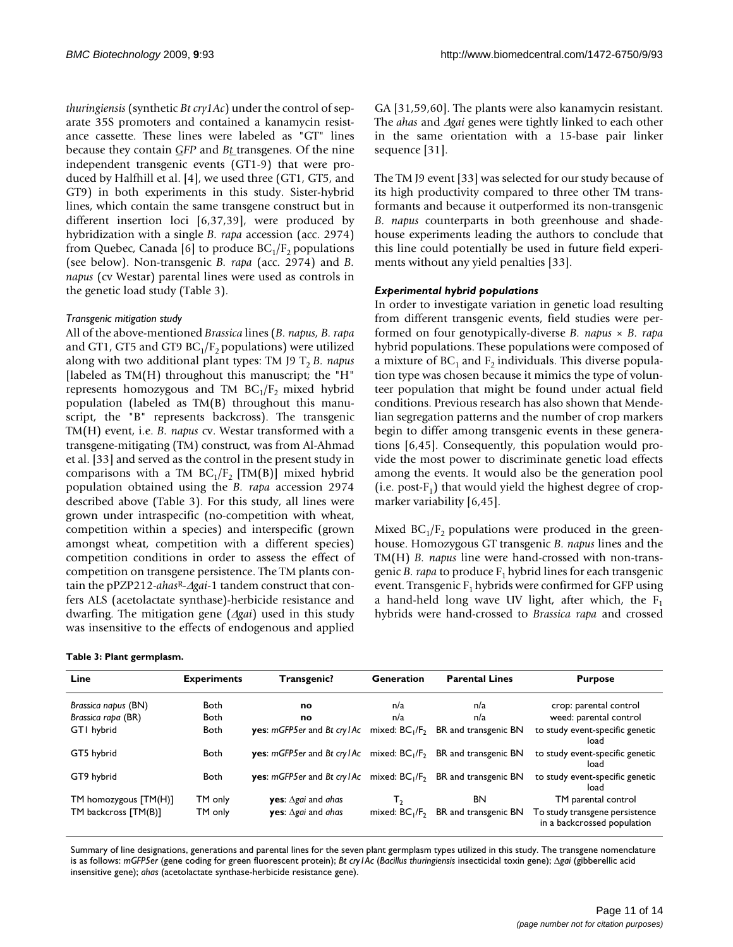*thuringiensis* (synthetic *Bt cry1Ac*) under the control of separate 35S promoters and contained a kanamycin resistance cassette. These lines were labeled as "GT" lines because they contain *GFP* and *Bt* transgenes. Of the nine independent transgenic events (GT1-9) that were produced by Halfhill et al. [4], we used three (GT1, GT5, and GT9) in both experiments in this study. Sister-hybrid lines, which contain the same transgene construct but in different insertion loci [[6](#page-14-0),37,39], were produced by hybridization with a single *B. rapa* accession (acc. 2974) from Quebec, Canada [\[6\]](#page-14-0) to produce  $BC_1/F_2$  populations (see below). Non-transgenic *B. rapa* (acc. 2974) and *B. napus* (cv Westar) parental lines were used as controls in the genetic load study (Table 3).

#### *Transgenic mitigation study*

All of the above-mentioned *Brassica* lines (*B. napus, B. rapa* and GT1, GT5 and GT9  $BC_1/F_2$  populations) were utilized along with two additional plant types: TM J9 T<sub>2</sub> *B. napus* [labeled as  $TM(H)$  throughout this manuscript; the "H" represents homozygous and TM  $BC<sub>1</sub>/F<sub>2</sub>$  mixed hybrid population (labeled as TM(B) throughout this manuscript, the "B" represents backcross). The transgenic TM(H) event, i.e. *B. napus* cv. Westar transformed with a transgene-mitigating (TM) construct, was from Al-Ahmad et al. [[33](#page-15-0)] and served as the control in the present study in comparisons with a TM  $BC_1/F_2$  [TM(B)] mixed hybrid population obtained using the *B. rapa* accession 2974 described above (Table 3). For this study, all lines were grown under intraspecific (no-competition with wheat, competition within a species) and interspecific (grown amongst wheat, competition with a different species) competition conditions in order to assess the effect of competition on transgene persistence. The TM plants contain the pPZP212-*ahas*R-Δ*gai*-1 tandem construct that confers ALS (acetolactate synthase)-herbicide resistance and dwarfing. The mitigation gene (Δ*gai*) used in this study was insensitive to the effects of endogenous and applied

|  | Table 3: Plant germplasm. |
|--|---------------------------|
|--|---------------------------|

GA [31,59,60]. The plants were also kanamycin resistant. The *ahas* and Δ*gai* genes were tightly linked to each other in the same orientation with a 15-base pair linker sequence [31].

The TM J9 event [\[33](#page-15-0)] was selected for our study because of its high productivity compared to three other TM transformants and because it outperformed its non-transgenic *B. napus* counterparts in both greenhouse and shadehouse experiments leading the authors to conclude that this line could potentially be used in future field experiments without any yield penalties [\[33](#page-15-0)].

#### *Experimental hybrid populations*

In order to investigate variation in genetic load resulting from different transgenic events, field studies were performed on four genotypically-diverse *B. napus × B. rapa* hybrid populations. These populations were composed of a mixture of  $BC_1$  and  $F_2$  individuals. This diverse population type was chosen because it mimics the type of volunteer population that might be found under actual field conditions. Previous research has also shown that Mendelian segregation patterns and the number of crop markers begin to differ among transgenic events in these generations [[6](#page-14-0)[,45](#page-15-1)]. Consequently, this population would provide the most power to discriminate genetic load effects among the events. It would also be the generation pool (i.e. post- $F_1$ ) that would yield the highest degree of cropmarker variability [[6](#page-14-0),[45](#page-15-1)].

Mixed  $BC_1/F_2$  populations were produced in the greenhouse. Homozygous GT transgenic *B. napus* lines and the TM(H) *B. napus* line were hand-crossed with non-transgenic *B. rapa* to produce  $F_1$  hybrid lines for each transgenic event. Transgenic  $F_1$  hybrids were confirmed for GFP using a hand-held long wave UV light, after which, the  $F_1$ hybrids were hand-crossed to *Brassica rapa* and crossed

| Line                  | <b>Experiments</b> | Transgenic?                                                                | Generation        | <b>Parental Lines</b> | <b>Purpose</b>                                                |
|-----------------------|--------------------|----------------------------------------------------------------------------|-------------------|-----------------------|---------------------------------------------------------------|
| Brassica napus (BN)   | <b>Both</b>        | no                                                                         | n/a               | n/a                   | crop: parental control                                        |
| Brassica rapa (BR)    | <b>Both</b>        | no                                                                         | n/a               | n/a                   | weed: parental control                                        |
| GTI hybrid            | <b>Both</b>        | <b>yes:</b> mGFP5er and Bt cry $ Ac $ mixed: $BC_1/F_2$                    |                   | BR and transgenic BN  | to study event-specific genetic<br>load                       |
| GT5 hybrid            | Both               | <b>yes:</b> mGFP5er and Bt cry $ Ac$ mixed: $BC_1/F_2$                     |                   | BR and transgenic BN  | to study event-specific genetic<br>load                       |
| GT9 hybrid            | <b>Both</b>        | <b>yes:</b> mGFP5er and Bt cry   Ac mixed: $BC_1/F_2$ BR and transgenic BN |                   |                       | to study event-specific genetic<br>load                       |
| TM homozygous [TM(H)] | TM only            | <b>yes:</b> $\Delta$ <i>gai</i> and <i>ahas</i>                            | т,                | ΒN                    | TM parental control                                           |
| TM backcross [TM(B)]  | TM only            | <b>yes:</b> $\Delta$ gai and ahas                                          | mixed: $BC_1/F_2$ | BR and transgenic BN  | To study transgene persistence<br>in a backcrossed population |

Summary of line designations, generations and parental lines for the seven plant germplasm types utilized in this study. The transgene nomenclature is as follows: *mGFP5er* (gene coding for green fluorescent protein); *Bt cry1Ac* (*Bacillus thuringiensis* insecticidal toxin gene); Δ*gai* (gibberellic acid insensitive gene); *ahas* (acetolactate synthase-herbicide resistance gene).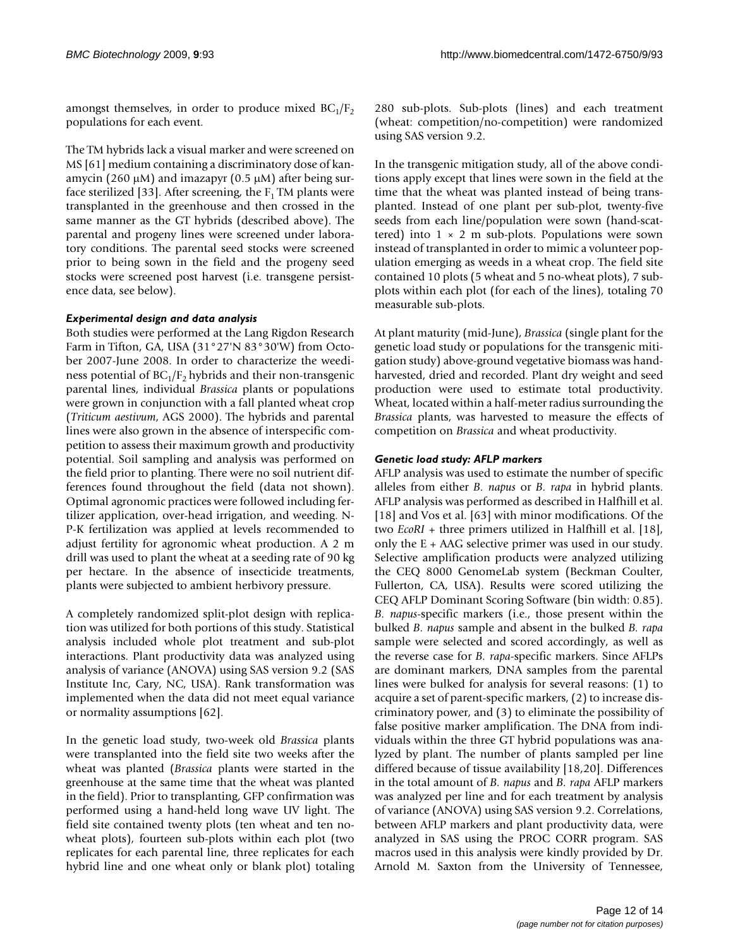amongst themselves, in order to produce mixed  $BC_1/F_2$ populations for each event.

The TM hybrids lack a visual marker and were screened on MS [61] medium containing a discriminatory dose of kanamycin (260 μM) and imazapyr (0.5 μM) after being sur-face sterilized [\[33](#page-15-0)]. After screening, the  $F_1$  TM plants were transplanted in the greenhouse and then crossed in the same manner as the GT hybrids (described above). The parental and progeny lines were screened under laboratory conditions. The parental seed stocks were screened prior to being sown in the field and the progeny seed stocks were screened post harvest (i.e. transgene persistence data, see below).

#### *Experimental design and data analysis*

Both studies were performed at the Lang Rigdon Research Farm in Tifton, GA, USA (31°27'N 83°30'W) from October 2007-June 2008. In order to characterize the weediness potential of  $BC_1/F_2$  hybrids and their non-transgenic parental lines, individual *Brassica* plants or populations were grown in conjunction with a fall planted wheat crop (*Triticum aestivum*, AGS 2000). The hybrids and parental lines were also grown in the absence of interspecific competition to assess their maximum growth and productivity potential. Soil sampling and analysis was performed on the field prior to planting. There were no soil nutrient differences found throughout the field (data not shown). Optimal agronomic practices were followed including fertilizer application, over-head irrigation, and weeding. N-P-K fertilization was applied at levels recommended to adjust fertility for agronomic wheat production. A 2 m drill was used to plant the wheat at a seeding rate of 90 kg per hectare. In the absence of insecticide treatments, plants were subjected to ambient herbivory pressure.

A completely randomized split-plot design with replication was utilized for both portions of this study. Statistical analysis included whole plot treatment and sub-plot interactions. Plant productivity data was analyzed using analysis of variance (ANOVA) using SAS version 9.2 (SAS Institute Inc, Cary, NC, USA). Rank transformation was implemented when the data did not meet equal variance or normality assumptions [62].

In the genetic load study, two-week old *Brassica* plants were transplanted into the field site two weeks after the wheat was planted (*Brassica* plants were started in the greenhouse at the same time that the wheat was planted in the field). Prior to transplanting, GFP confirmation was performed using a hand-held long wave UV light. The field site contained twenty plots (ten wheat and ten nowheat plots), fourteen sub-plots within each plot (two replicates for each parental line, three replicates for each hybrid line and one wheat only or blank plot) totaling 280 sub-plots. Sub-plots (lines) and each treatment (wheat: competition/no-competition) were randomized using SAS version 9.2.

In the transgenic mitigation study, all of the above conditions apply except that lines were sown in the field at the time that the wheat was planted instead of being transplanted. Instead of one plant per sub-plot, twenty-five seeds from each line/population were sown (hand-scattered) into  $1 \times 2$  m sub-plots. Populations were sown instead of transplanted in order to mimic a volunteer population emerging as weeds in a wheat crop. The field site contained 10 plots (5 wheat and 5 no-wheat plots), 7 subplots within each plot (for each of the lines), totaling 70 measurable sub-plots.

At plant maturity (mid-June), *Brassica* (single plant for the genetic load study or populations for the transgenic mitigation study) above-ground vegetative biomass was handharvested, dried and recorded. Plant dry weight and seed production were used to estimate total productivity. Wheat, located within a half-meter radius surrounding the *Brassica* plants, was harvested to measure the effects of competition on *Brassica* and wheat productivity.

#### *Genetic load study: AFLP markers*

AFLP analysis was used to estimate the number of specific alleles from either *B. napus* or *B. rapa* in hybrid plants. AFLP analysis was performed as described in Halfhill et al. [18] and Vos et al. [63] with minor modifications. Of the two *EcoRI* + three primers utilized in Halfhill et al. [18], only the  $E + AAG$  selective primer was used in our study. Selective amplification products were analyzed utilizing the CEQ 8000 GenomeLab system (Beckman Coulter, Fullerton, CA, USA). Results were scored utilizing the CEQ AFLP Dominant Scoring Software (bin width: 0.85). *B. napus*-specific markers (i.e., those present within the bulked *B. napus* sample and absent in the bulked *B. rapa* sample were selected and scored accordingly, as well as the reverse case for *B. rapa*-specific markers. Since AFLPs are dominant markers, DNA samples from the parental lines were bulked for analysis for several reasons: (1) to acquire a set of parent-specific markers, (2) to increase discriminatory power, and (3) to eliminate the possibility of false positive marker amplification. The DNA from individuals within the three GT hybrid populations was analyzed by plant. The number of plants sampled per line differed because of tissue availability [18[,20](#page-14-2)]. Differences in the total amount of *B. napus* and *B. rapa* AFLP markers was analyzed per line and for each treatment by analysis of variance (ANOVA) using SAS version 9.2. Correlations, between AFLP markers and plant productivity data, were analyzed in SAS using the PROC CORR program. SAS macros used in this analysis were kindly provided by Dr. Arnold M. Saxton from the University of Tennessee,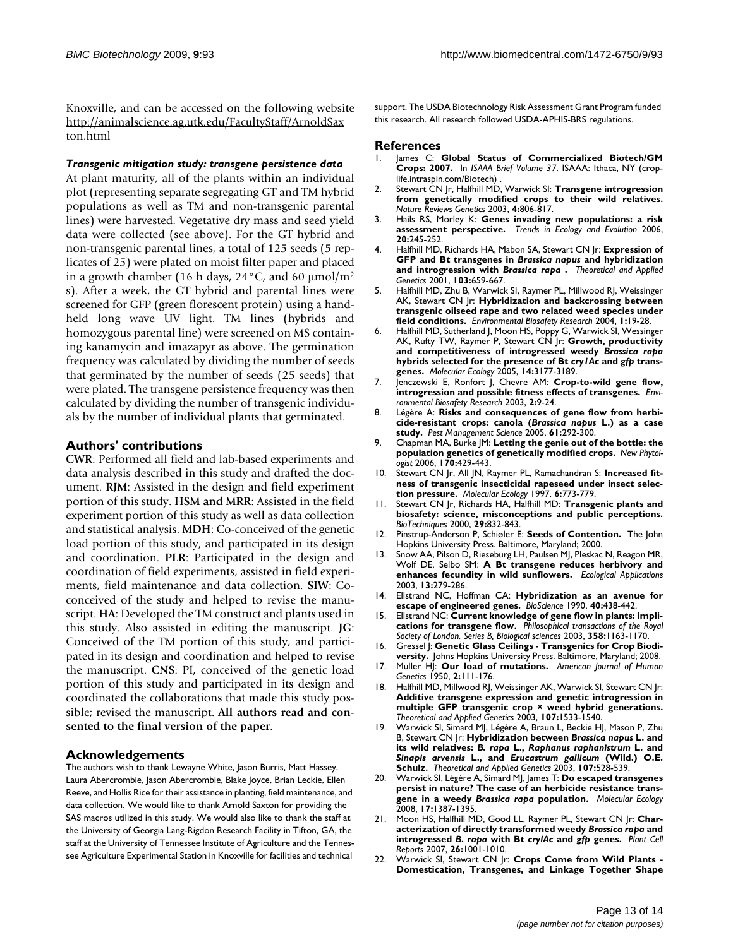Knoxville, and can be accessed on the following website [http://animalscience.ag.utk.edu/FacultyStaff/ArnoldSax](http://animalscience.ag.utk.edu/FacultyStaff/ArnoldSaxton.html) [ton.html](http://animalscience.ag.utk.edu/FacultyStaff/ArnoldSaxton.html)

#### *Transgenic mitigation study: transgene persistence data*

At plant maturity, all of the plants within an individual plot (representing separate segregating GT and TM hybrid populations as well as TM and non-transgenic parental lines) were harvested. Vegetative dry mass and seed yield data were collected (see above). For the GT hybrid and non-transgenic parental lines, a total of 125 seeds (5 replicates of 25) were plated on moist filter paper and placed in a growth chamber (16 h days,  $24^{\circ}$ C, and 60  $\mu$ mol/m<sup>2</sup> s). After a week, the GT hybrid and parental lines were screened for GFP (green florescent protein) using a handheld long wave UV light. TM lines (hybrids and homozygous parental line) were screened on MS containing kanamycin and imazapyr as above. The germination frequency was calculated by dividing the number of seeds that germinated by the number of seeds (25 seeds) that were plated. The transgene persistence frequency was then calculated by dividing the number of transgenic individuals by the number of individual plants that germinated.

#### **Authors' contributions**

**CWR**: Performed all field and lab-based experiments and data analysis described in this study and drafted the document. **RJM**: Assisted in the design and field experiment portion of this study. **HSM and MRR**: Assisted in the field experiment portion of this study as well as data collection and statistical analysis. **MDH**: Co-conceived of the genetic load portion of this study, and participated in its design and coordination. **PLR**: Participated in the design and coordination of field experiments, assisted in field experiments, field maintenance and data collection. **SIW**: Coconceived of the study and helped to revise the manuscript. **HA**: Developed the TM construct and plants used in this study. Also assisted in editing the manuscript. **JG**: Conceived of the TM portion of this study, and participated in its design and coordination and helped to revise the manuscript. **CNS**: PI, conceived of the genetic load portion of this study and participated in its design and coordinated the collaborations that made this study possible; revised the manuscript. **All authors read and consented to the final version of the paper**.

#### **Acknowledgements**

The authors wish to thank Lewayne White, Jason Burris, Matt Hassey, Laura Abercrombie, Jason Abercrombie, Blake Joyce, Brian Leckie, Ellen Reeve, and Hollis Rice for their assistance in planting, field maintenance, and data collection. We would like to thank Arnold Saxton for providing the SAS macros utilized in this study. We would also like to thank the staff at the University of Georgia Lang-Rigdon Research Facility in Tifton, GA, the staff at the University of Tennessee Institute of Agriculture and the Tennessee Agriculture Experimental Station in Knoxville for facilities and technical

support. The USDA Biotechnology Risk Assessment Grant Program funded this research. All research followed USDA-APHIS-BRS regulations.

#### **References**

- 1. James C: **Global Status of Commercialized Biotech/GM Crops: 2007.** In *ISAAA Brief Volume 37*. ISAAA: Ithaca, NY (croplife.intraspin.com/Biotech) .
- 2. Stewart CN Jr, Halfhill MD, Warwick SI: **[Transgene introgression](http://www.ncbi.nlm.nih.gov/entrez/query.fcgi?cmd=Retrieve&db=PubMed&dopt=Abstract&list_uids=14526376) [from genetically modified crops to their wild relatives.](http://www.ncbi.nlm.nih.gov/entrez/query.fcgi?cmd=Retrieve&db=PubMed&dopt=Abstract&list_uids=14526376)** *Nature Reviews Genetics* 2003, **4:**806-817.
- 3. Hails RS, Morley K: **Genes invading new populations: a risk assessment perspective.** *Trends in Ecology and Evolution* 2006, **20:**245-252.
- 4. Halfhill MD, Richards HA, Mabon SA, Stewart CN Jr: **Expression of GFP and Bt transgenes in** *Brassica napus* **and hybridization and introgression with** *Brassica rapa* **.** *Theoretical and Applied Genetics* 2001, **103:**659-667.
- 5. Halfhill MD, Zhu B, Warwick SI, Raymer PL, Millwood RJ, Weissinger AK, Stewart CN Jr: **Hybridization and backcrossing between transgenic oilseed rape and two related weed species under field conditions.** *Environmental Biosafety Research* 2004, **1:**19-28.
- <span id="page-14-0"></span>6. Halfhill MD, Sutherland J, Moon HS, Poppy G, Warwick SI, Wessinger AK, Rufty TW, Raymer P, Stewart CN Jr: **Growth, productivity and competitiveness of introgressed weedy** *Brassica rapa* **hybrids selected for the presence of Bt** *cry1Ac* **and** *gfp* **[trans](http://www.ncbi.nlm.nih.gov/entrez/query.fcgi?cmd=Retrieve&db=PubMed&dopt=Abstract&list_uids=16101783)[genes.](http://www.ncbi.nlm.nih.gov/entrez/query.fcgi?cmd=Retrieve&db=PubMed&dopt=Abstract&list_uids=16101783)** *Molecular Ecology* 2005, **14:**3177-3189.
- 7. Jenczewski E, Ronfort J, Chevre AM: **[Crop-to-wild gene flow,](http://www.ncbi.nlm.nih.gov/entrez/query.fcgi?cmd=Retrieve&db=PubMed&dopt=Abstract&list_uids=15615064) [introgression and possible fitness effects of transgenes.](http://www.ncbi.nlm.nih.gov/entrez/query.fcgi?cmd=Retrieve&db=PubMed&dopt=Abstract&list_uids=15615064)** *Environmental Biosafety Research* 2003, **2:**9-24.
- Légère A: Risks and consequences of gene flow from herbi**cide-resistant crops: canola (***Brassica napus* **[L.\) as a case](http://www.ncbi.nlm.nih.gov/entrez/query.fcgi?cmd=Retrieve&db=PubMed&dopt=Abstract&list_uids=15593291) [study.](http://www.ncbi.nlm.nih.gov/entrez/query.fcgi?cmd=Retrieve&db=PubMed&dopt=Abstract&list_uids=15593291)** *Pest Management Science* 2005, **61:**292-300.
- 9. Chapman MA, Burke JM: **[Letting the genie out of the bottle: the](http://www.ncbi.nlm.nih.gov/entrez/query.fcgi?cmd=Retrieve&db=PubMed&dopt=Abstract&list_uids=16626466) [population genetics of genetically modified crops.](http://www.ncbi.nlm.nih.gov/entrez/query.fcgi?cmd=Retrieve&db=PubMed&dopt=Abstract&list_uids=16626466)** *New Phytologist* 2006, **170:**429-443.
- 10. Stewart CN Jr, All JN, Raymer PL, Ramachandran S: **Increased fitness of transgenic insecticidal rapeseed under insect selection pressure.** *Molecular Ecology* 1997, **6:**773-779.
- 11. Stewart CN Jr, Richards HA, Halfhill MD: **[Transgenic plants and](http://www.ncbi.nlm.nih.gov/entrez/query.fcgi?cmd=Retrieve&db=PubMed&dopt=Abstract&list_uids=11056815) [biosafety: science, misconceptions and public perceptions.](http://www.ncbi.nlm.nih.gov/entrez/query.fcgi?cmd=Retrieve&db=PubMed&dopt=Abstract&list_uids=11056815)** *BioTechniques* 2000, **29:**832-843.
- 12. Pinstrup-Anderson P, Schiøler E: **Seeds of Contention.** The John Hopkins University Press. Baltimore, Maryland; 2000.
- 13. Snow AA, Pilson D, Rieseburg LH, Paulsen MJ, Pleskac N, Reagon MR, Wolf DE, Selbo SM: **A Bt transgene reduces herbivory and enhances fecundity in wild sunflowers.** *Ecological Applications* 2003, **13:**279-286.
- 14. Ellstrand NC, Hoffman CA: **Hybridization as an avenue for escape of engineered genes.** *BioScience* 1990, **40:**438-442.
- 15. Ellstrand NC: **[Current knowledge of gene flow in plants: impli](http://www.ncbi.nlm.nih.gov/entrez/query.fcgi?cmd=Retrieve&db=PubMed&dopt=Abstract&list_uids=12831483)[cations for transgene flow.](http://www.ncbi.nlm.nih.gov/entrez/query.fcgi?cmd=Retrieve&db=PubMed&dopt=Abstract&list_uids=12831483)** *Philosophical transactions of the Royal Society of London. Series B, Biological sciences* 2003, **358:**1163-1170.
- 16. Gressel J: **Genetic Glass Ceilings Transgenics for Crop Biodiversity.** Johns Hopkins University Press. Baltimore, Maryland; 2008.
- 17. Muller HJ: **[Our load of mutations.](http://www.ncbi.nlm.nih.gov/entrez/query.fcgi?cmd=Retrieve&db=PubMed&dopt=Abstract&list_uids=14771033)** *American Journal of Human Genetics* 1950, **2:**111-176.
- 18. Halfhill MD, Millwood RJ, Weissinger AK, Warwick SI, Stewart CN Jr: **Additive transgene expression and genetic introgression in multiple GFP transgenic crop × weed hybrid generations.** *Theoretical and Applied Genetics* 2003, **107:**1533-1540.
- 19. Warwick SI, Simard MJ, Légère A, Braun L, Beckie HJ, Mason P, Zhu B, Stewart CN Jr: **Hybridization between** *Brassica napus* **L. and its wild relatives:** *B. rapa* **L.,** *Raphanus raphanistrum* **L. and** *Sinapis arvensis* **L., and** *Erucastrum gallicum* **(Wild.) O.E. Schulz.** *Theoretical and Applied Genetics* 2003, **107:**528-539.
- <span id="page-14-2"></span>20. Warwick SI, Légère A, Simard MJ, James T: **Do escaped transgenes persist in nature? The case of an herbicide resistance transgene in a weedy** *Brassica rapa* **[population.](http://www.ncbi.nlm.nih.gov/entrez/query.fcgi?cmd=Retrieve&db=PubMed&dopt=Abstract&list_uids=17971090)** *Molecular Ecology* 2008, **17:**1387-1395.
- <span id="page-14-1"></span>21. Moon HS, Halfhill MD, Good LL, Raymer PL, Stewart CN Jr: **Characterization of directly transformed weedy** *Brassica rapa* **and introgressed** *B. rapa* **with Bt** *crylAc* **and** *gfp* **[genes.](http://www.ncbi.nlm.nih.gov/entrez/query.fcgi?cmd=Retrieve&db=PubMed&dopt=Abstract&list_uids=17333014)** *Plant Cell Reports* 2007, **26:**1001-1010.
- 22. Warwick SI, Stewart CN Jr: **Crops Come from Wild Plants - Domestication, Transgenes, and Linkage Together Shape**